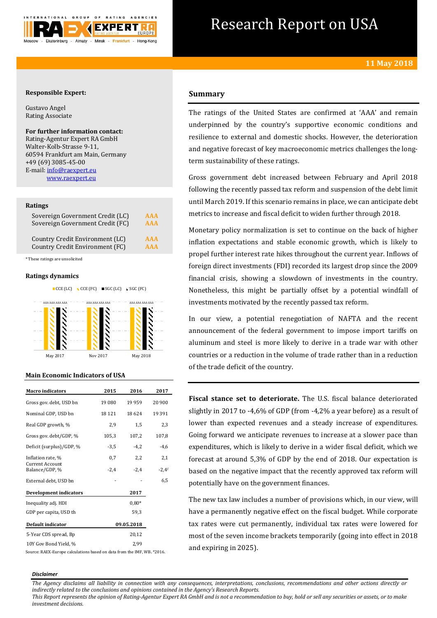

# Research Report on USA

## **Responsible Expert:**

Gustavo Angel Rating Associate

# **For further information contact:**

Rating-Agentur Expert RA GmbH Walter-Kolb-Strasse 9-11, 60594 Frankfurt am Main, Germany +49 (69) 3085-45-00 E-mail[: info@raexpert.eu](mailto:info@raexpert.eu) [www.raexpert.eu](http://raexpert.eu/)

#### **Ratings**

| Sovereign Government Credit (LC) | AAA        |
|----------------------------------|------------|
| Sovereign Government Credit (FC) | <b>AAA</b> |
| Country Credit Environment (LC)  | <b>AAA</b> |
| Country Credit Environment (FC)  | <b>AAA</b> |

\* These ratings are unsolicited

#### **Ratings dynamics**





## **Main Economic Indicators of USA**

| <b>Macro</b> indicators           | 2015    | 2016       | 2017     |
|-----------------------------------|---------|------------|----------|
| Gross gov. debt, USD bn           | 19 080  | 19 9 59    | 20 900   |
| Nominal GDP, USD bn               | 18 12 1 | 18624      | 19 3 9 1 |
| Real GDP growth, %                | 2,9     | 1,5        | 2,3      |
| Gross gov. debt/GDP, %            | 105,3   | 107,2      | 107,8    |
| Deficit (surplus)/GDP, %          | $-3,5$  | $-4,2$     | $-4,6$   |
| Inflation rate, %                 | 0,7     | 2,2        | 2,1      |
| Current Account<br>Balance/GDP, % | $-2,4$  | $-2,4$     | $-2,4$ f |
| External debt, USD bn             |         |            | 6,5      |
| <b>Development indicators</b>     |         | 2017       |          |
| Inequality adj. HDI               |         | $0.80*$    |          |
| GDP per capita, USD th            |         | 59.3       |          |
| Default indicator                 |         | 09.05.2018 |          |
| 5-Year CDS spread, Bp             |         | 20,12      |          |
| 10Y Gov Bond Yield, %             |         | 2,99       |          |

Source: RAEX-Europe calculations based on data from the IMF, WB**.** \*2016.

# **Summary**

The ratings of the United States are confirmed at 'AAA' and remain underpinned by the country's supportive economic conditions and resilience to external and domestic shocks. However, the deterioration and negative forecast of key macroeconomic metrics challenges the longterm sustainability of these ratings.

Gross government debt increased between February and April 2018 following the recently passed tax reform and suspension of the debt limit until March 2019. If this scenario remains in place, we can anticipate debt metrics to increase and fiscal deficit to widen further through 2018.

Monetary policy normalization is set to continue on the back of higher inflation expectations and stable economic growth, which is likely to propel further interest rate hikes throughout the current year. Inflows of foreign direct investments (FDI) recorded its largest drop since the 2009 financial crisis, showing a slowdown of investments in the country. Nonetheless, this might be partially offset by a potential windfall of investments motivated by the recently passed tax reform.

In our view, a potential renegotiation of NAFTA and the recent announcement of the federal government to impose import tariffs on aluminum and steel is more likely to derive in a trade war with other countries or a reduction in the volume of trade rather than in a reduction of the trade deficit of the country.

**Fiscal stance set to deteriorate.** The U.S. fiscal balance deteriorated slightly in 2017 to -4,6% of GDP (from -4,2% a year before) as a result of lower than expected revenues and a steady increase of expenditures. Going forward we anticipate revenues to increase at a slower pace than expenditures, which is likely to derive in a wider fiscal deficit, which we forecast at around 5,3% of GDP by the end of 2018. Our expectation is based on the negative impact that the recently approved tax reform will potentially have on the government finances.

The new tax law includes a number of provisions which, in our view, will have a permanently negative effect on the fiscal budget. While corporate tax rates were cut permanently, individual tax rates were lowered for most of the seven income brackets temporarily (going into effect in 2018 and expiring in 2025).

#### *Disclaimer*

*The Agency disclaims all liability in connection with any consequences, interpretations, conclusions, recommendations and other actions directly or indirectly related to the conclusions and opinions contained in the Agency's Research Reports.*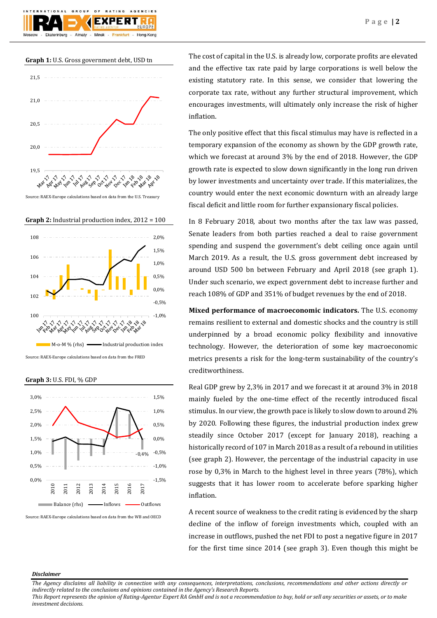





Source: RAEX-Europe calculations based on data from the U.S. Treasury

**Graph 2:** Industrial production index, 2012 = 100



**Graph 3:** U.S. FDI, % GDP



Source: RAEX-Europe calculations based on data from the WB and OECD

The cost of capital in the U.S. is already low, corporate profits are elevated and the effective tax rate paid by large corporations is well below the existing statutory rate. In this sense, we consider that lowering the corporate tax rate, without any further structural improvement, which encourages investments, will ultimately only increase the risk of higher inflation.

The only positive effect that this fiscal stimulus may have is reflected in a temporary expansion of the economy as shown by the GDP growth rate, which we forecast at around 3% by the end of 2018. However, the GDP growth rate is expected to slow down significantly in the long run driven by lower investments and uncertainty over trade. If this materializes, the country would enter the next economic downturn with an already large fiscal deficit and little room for further expansionary fiscal policies.

In 8 February 2018, about two months after the tax law was passed, Senate leaders from both parties reached a deal to raise government spending and suspend the government's debt ceiling once again until March 2019. As a result, the U.S. gross government debt increased by around USD 500 bn between February and April 2018 (see graph 1). Under such scenario, we expect government debt to increase further and reach 108% of GDP and 351% of budget revenues by the end of 2018.

**Mixed performance of macroeconomic indicators.** The U.S. economy remains resilient to external and domestic shocks and the country is still underpinned by a broad economic policy flexibility and innovative technology. However, the deterioration of some key macroeconomic metrics presents a risk for the long-term sustainability of the country's creditworthiness.

Real GDP grew by 2,3% in 2017 and we forecast it at around 3% in 2018 mainly fueled by the one-time effect of the recently introduced fiscal stimulus. In our view, the growth pace is likely to slow down to around 2% by 2020. Following these figures, the industrial production index grew steadily since October 2017 (except for January 2018), reaching a historically record of 107 in March 2018 as a result of a rebound in utilities (see graph 2). However, the percentage of the industrial capacity in use rose by 0,3% in March to the highest level in three years (78%), which suggests that it has lower room to accelerate before sparking higher inflation.

A recent source of weakness to the credit rating is evidenced by the sharp decline of the inflow of foreign investments which, coupled with an increase in outflows, pushed the net FDI to post a negative figure in 2017 for the first time since 2014 (see graph 3). Even though this might be

#### *Disclaimer*

*The Agency disclaims all liability in connection with any consequences, interpretations, conclusions, recommendations and other actions directly or indirectly related to the conclusions and opinions contained in the Agency's Research Reports.*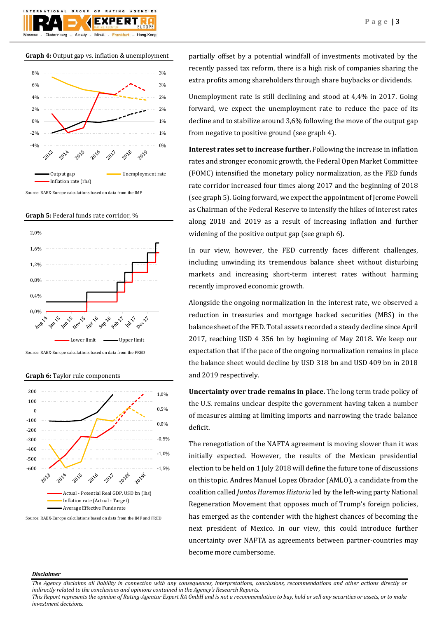

## **Graph 4:** Output gap vs. inflation & unemployment



Source: RAEX-Europe calculations based on data from the IMF

**Graph 5:** Federal funds rate corridor, %



Source: RAEX-Europe calculations based on data from the FRED

**Graph 6:** Taylor rule components



Source: RAEX-Europe calculations based on data from the IMF and FRED

partially offset by a potential windfall of investments motivated by the recently passed tax reform, there is a high risk of companies sharing the extra profits among shareholders through share buybacks or dividends.

Unemployment rate is still declining and stood at 4,4% in 2017. Going forward, we expect the unemployment rate to reduce the pace of its decline and to stabilize around 3,6% following the move of the output gap from negative to positive ground (see graph 4).

**Interest rates set to increase further.** Following the increase in inflation rates and stronger economic growth, the Federal Open Market Committee (FOMC) intensified the monetary policy normalization, as the FED funds rate corridor increased four times along 2017 and the beginning of 2018 (see graph 5). Going forward, we expect the appointment of Jerome Powell as Chairman of the Federal Reserve to intensify the hikes of interest rates along 2018 and 2019 as a result of increasing inflation and further widening of the positive output gap (see graph 6).

In our view, however, the FED currently faces different challenges, including unwinding its tremendous balance sheet without disturbing markets and increasing short-term interest rates without harming recently improved economic growth.

Alongside the ongoing normalization in the interest rate, we observed a reduction in treasuries and mortgage backed securities (MBS) in the balance sheet of the FED. Total assets recorded a steady decline since April 2017, reaching USD 4 356 bn by beginning of May 2018. We keep our expectation that if the pace of the ongoing normalization remains in place the balance sheet would decline by USD 318 bn and USD 409 bn in 2018 and 2019 respectively.

**Uncertainty over trade remains in place.** The long term trade policy of the U.S. remains unclear despite the government having taken a number of measures aiming at limiting imports and narrowing the trade balance deficit.

The renegotiation of the NAFTA agreement is moving slower than it was initially expected. However, the results of the Mexican presidential election to be held on 1 July 2018 will define the future tone of discussions on this topic. Andres Manuel Lopez Obrador (AMLO), a candidate from the coalition called *Juntos Haremos Historia* led by the left-wing party National Regeneration Movement that opposes much of Trump's foreign policies, has emerged as the contender with the highest chances of becoming the next president of Mexico. In our view, this could introduce further uncertainty over NAFTA as agreements between partner-countries may become more cumbersome.

#### *Disclaimer*

*The Agency disclaims all liability in connection with any consequences, interpretations, conclusions, recommendations and other actions directly or indirectly related to the conclusions and opinions contained in the Agency's Research Reports.*